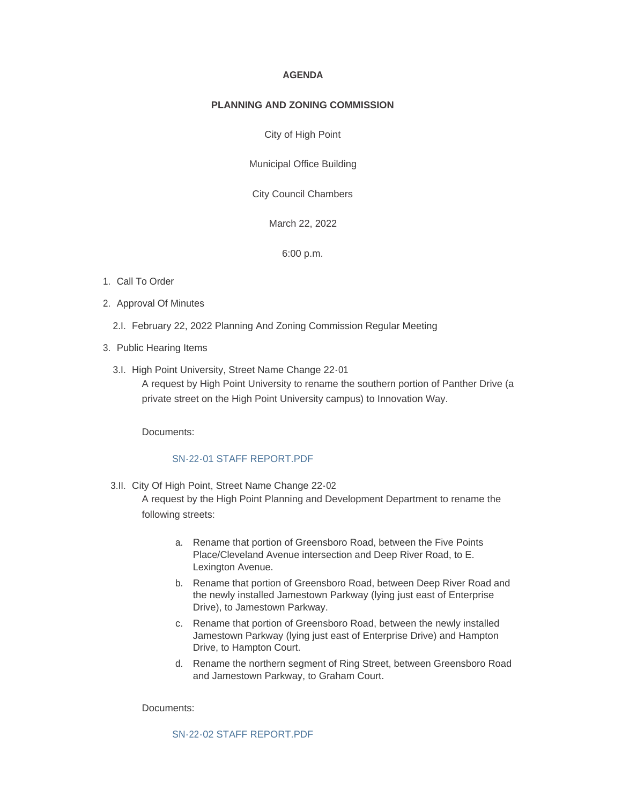#### **AGENDA**

#### **PLANNING AND ZONING COMMISSION**

City of High Point

Municipal Office Building

City Council Chambers

March 22, 2022

6:00 p.m.

- 1. Call To Order
- 2. Approval Of Minutes
	- 2.I. February 22, 2022 Planning And Zoning Commission Regular Meeting
- 3. Public Hearing Items
	- 3.I. High Point University, Street Name Change 22-01 A request by High Point University to rename the southern portion of Panther Drive (a private street on the High Point University campus) to Innovation Way.

Documents:

#### [SN-22-01 STAFF REPORT.PDF](https://www.highpointnc.gov/AgendaCenter/ViewFile/Item/1535?fileID=56209)

3.II. City Of High Point, Street Name Change 22-02

A request by the High Point Planning and Development Department to rename the following streets:

- a. Rename that portion of Greensboro Road, between the Five Points Place/Cleveland Avenue intersection and Deep River Road, to E. Lexington Avenue.
- b. Rename that portion of Greensboro Road, between Deep River Road and the newly installed Jamestown Parkway (lying just east of Enterprise Drive), to Jamestown Parkway.
- c. Rename that portion of Greensboro Road, between the newly installed Jamestown Parkway (lying just east of Enterprise Drive) and Hampton Drive, to Hampton Court.
- d. Rename the northern segment of Ring Street, between Greensboro Road and Jamestown Parkway, to Graham Court.

Documents:

[SN-22-02 STAFF REPORT.PDF](https://www.highpointnc.gov/AgendaCenter/ViewFile/Item/1536?fileID=56210)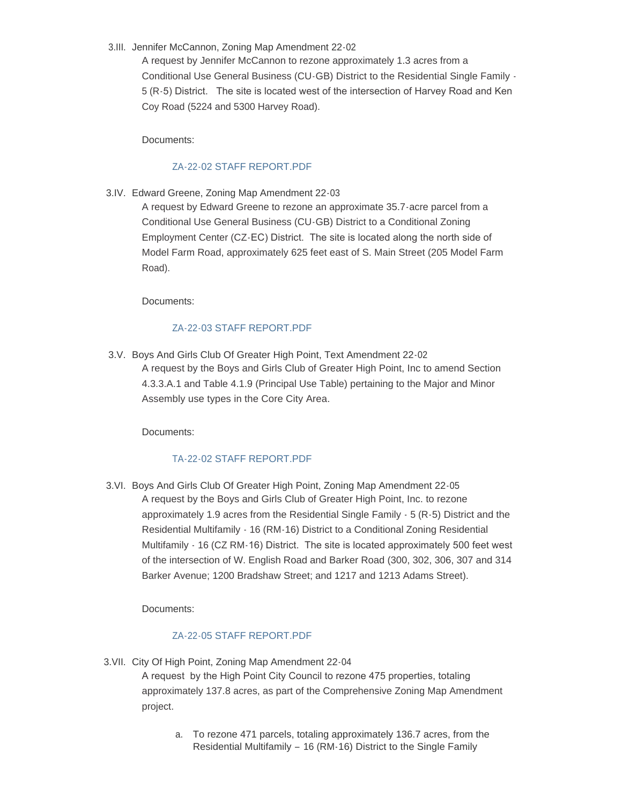3.III. Jennifer McCannon, Zoning Map Amendment 22-02

A request by Jennifer McCannon to rezone approximately 1.3 acres from a Conditional Use General Business (CU-GB) District to the Residential Single Family - 5 (R-5) District. The site is located west of the intersection of Harvey Road and Ken Coy Road (5224 and 5300 Harvey Road).

Documents:

#### [ZA-22-02 STAFF REPORT.PDF](https://www.highpointnc.gov/AgendaCenter/ViewFile/Item/1537?fileID=56221)

Edward Greene, Zoning Map Amendment 22-03 3.IV.

A request by Edward Greene to rezone an approximate 35.7-acre parcel from a Conditional Use General Business (CU-GB) District to a Conditional Zoning Employment Center (CZ-EC) District. The site is located along the north side of Model Farm Road, approximately 625 feet east of S. Main Street (205 Model Farm Road).

Documents:

#### [ZA-22-03 STAFF REPORT.PDF](https://www.highpointnc.gov/AgendaCenter/ViewFile/Item/1538?fileID=56228)

3.V. Boys And Girls Club Of Greater High Point, Text Amendment 22-02 A request by the Boys and Girls Club of Greater High Point, Inc to amend Section 4.3.3.A.1 and Table 4.1.9 (Principal Use Table) pertaining to the Major and Minor Assembly use types in the Core City Area.

Documents:

## [TA-22-02 STAFF REPORT.PDF](https://www.highpointnc.gov/AgendaCenter/ViewFile/Item/1539?fileID=56229)

3.VI. Boys And Girls Club Of Greater High Point, Zoning Map Amendment 22-05 A request by the Boys and Girls Club of Greater High Point, Inc. to rezone approximately 1.9 acres from the Residential Single Family - 5 (R-5) District and the Residential Multifamily - 16 (RM-16) District to a Conditional Zoning Residential Multifamily - 16 (CZ RM-16) District. The site is located approximately 500 feet west of the intersection of W. English Road and Barker Road (300, 302, 306, 307 and 314 Barker Avenue; 1200 Bradshaw Street; and 1217 and 1213 Adams Street).

Documents:

## [ZA-22-05 STAFF REPORT.PDF](https://www.highpointnc.gov/AgendaCenter/ViewFile/Item/1540?fileID=56270)

3. VII. City Of High Point, Zoning Map Amendment 22-04

A request by the High Point City Council to rezone 475 properties, totaling approximately 137.8 acres, as part of the Comprehensive Zoning Map Amendment project.

> a. To rezone 471 parcels, totaling approximately 136.7 acres, from the Residential Multifamily – 16 (RM-16) District to the Single Family